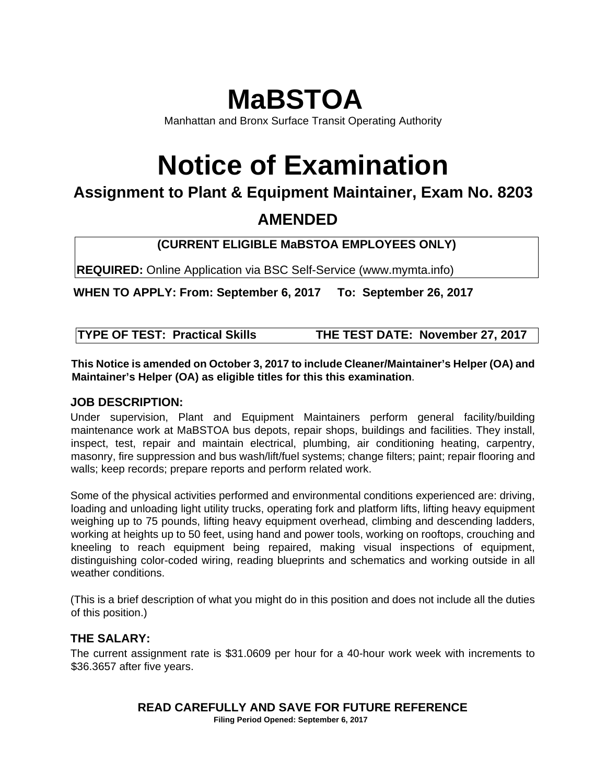## **MaBSTOA**

Manhattan and Bronx Surface Transit Operating Authority

# **Notice of Examination**

### **Assignment to Plant & Equipment Maintainer, Exam No. 8203**

## **AMENDED**

### **(CURRENT ELIGIBLE MaBSTOA EMPLOYEES ONLY)**

**REQUIRED:** Online Application via BSC Self-Service (www.mymta.info)

**WHEN TO APPLY: From: September 6, 2017 To: September 26, 2017** 

| <b>TYPE OF TEST: Practical Skills</b> | THE TEST DATE: November 27, 2017 |
|---------------------------------------|----------------------------------|
|---------------------------------------|----------------------------------|

**This Notice is amended on October 3, 2017 to include Cleaner/Maintainer's Helper (OA) and Maintainer's Helper (OA) as eligible titles for this this examination**.

#### **JOB DESCRIPTION:**

Under supervision, Plant and Equipment Maintainers perform general facility/building maintenance work at MaBSTOA bus depots, repair shops, buildings and facilities. They install, inspect, test, repair and maintain electrical, plumbing, air conditioning heating, carpentry, masonry, fire suppression and bus wash/lift/fuel systems; change filters; paint; repair flooring and walls; keep records; prepare reports and perform related work.

Some of the physical activities performed and environmental conditions experienced are: driving, loading and unloading light utility trucks, operating fork and platform lifts, lifting heavy equipment weighing up to 75 pounds, lifting heavy equipment overhead, climbing and descending ladders, working at heights up to 50 feet, using hand and power tools, working on rooftops, crouching and kneeling to reach equipment being repaired, making visual inspections of equipment, distinguishing color-coded wiring, reading blueprints and schematics and working outside in all weather conditions.

(This is a brief description of what you might do in this position and does not include all the duties of this position.)

#### **THE SALARY:**

The current assignment rate is \$31.0609 per hour for a 40-hour work week with increments to \$36.3657 after five years.

## **READ CAREFULLY AND SAVE FOR FUTURE REFERENCE**

 **Filing Period Opened: September 6, 2017**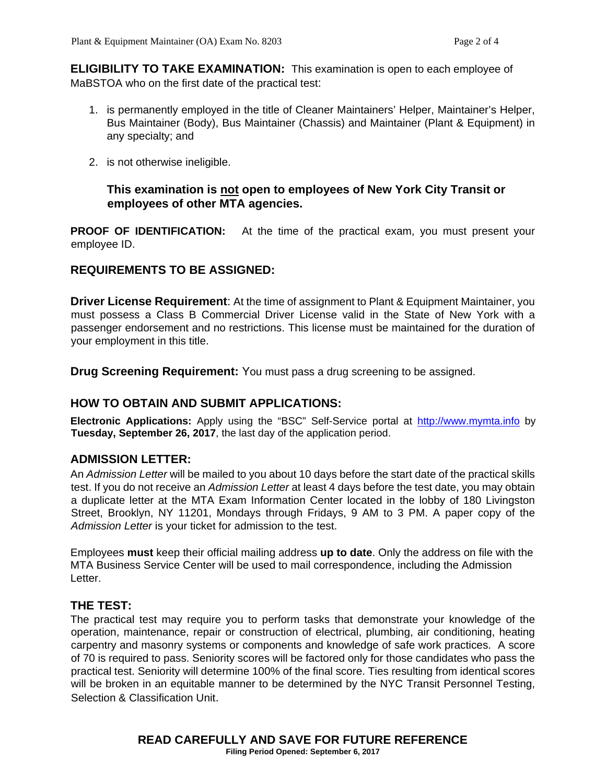**ELIGIBILITY TO TAKE EXAMINATION:** This examination is open to each employee of MaBSTOA who on the first date of the practical test:

- 1. is permanently employed in the title of Cleaner Maintainers' Helper, Maintainer's Helper, Bus Maintainer (Body), Bus Maintainer (Chassis) and Maintainer (Plant & Equipment) in any specialty; and
- 2. is not otherwise ineligible.

#### **This examination is not open to employees of New York City Transit or employees of other MTA agencies.**

**PROOF OF IDENTIFICATION:** At the time of the practical exam, you must present your employee ID.

#### **REQUIREMENTS TO BE ASSIGNED:**

**Driver License Requirement:** At the time of assignment to Plant & Equipment Maintainer, you must possess a Class B Commercial Driver License valid in the State of New York with a passenger endorsement and no restrictions. This license must be maintained for the duration of your employment in this title.

**Drug Screening Requirement:** You must pass a drug screening to be assigned.

#### **HOW TO OBTAIN AND SUBMIT APPLICATIONS:**

**Electronic Applications:** Apply using the "BSC" Self-Service portal at http://www.mymta.info by **Tuesday, September 26, 2017**, the last day of the application period.

#### **ADMISSION LETTER:**

An *Admission Letter* will be mailed to you about 10 days before the start date of the practical skills test. If you do not receive an *Admission Letter* at least 4 days before the test date, you may obtain a duplicate letter at the MTA Exam Information Center located in the lobby of 180 Livingston Street, Brooklyn, NY 11201, Mondays through Fridays, 9 AM to 3 PM. A paper copy of the *Admission Letter* is your ticket for admission to the test.

Employees **must** keep their official mailing address **up to date**. Only the address on file with the MTA Business Service Center will be used to mail correspondence, including the Admission Letter.

#### **THE TEST:**

The practical test may require you to perform tasks that demonstrate your knowledge of the operation, maintenance, repair or construction of electrical, plumbing, air conditioning, heating carpentry and masonry systems or components and knowledge of safe work practices. A score of 70 is required to pass. Seniority scores will be factored only for those candidates who pass the practical test. Seniority will determine 100% of the final score. Ties resulting from identical scores will be broken in an equitable manner to be determined by the NYC Transit Personnel Testing, Selection & Classification Unit.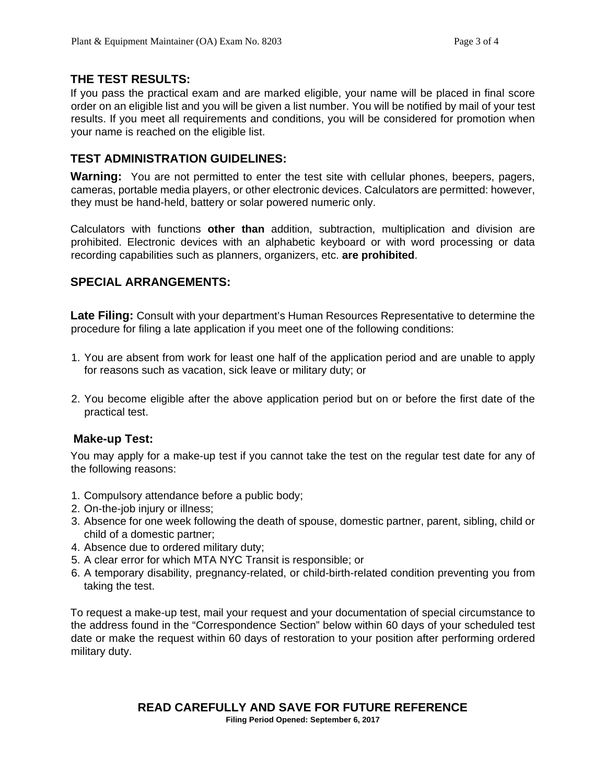#### **THE TEST RESULTS:**

If you pass the practical exam and are marked eligible, your name will be placed in final score order on an eligible list and you will be given a list number. You will be notified by mail of your test results. If you meet all requirements and conditions, you will be considered for promotion when your name is reached on the eligible list.

#### **TEST ADMINISTRATION GUIDELINES:**

**Warning:** You are not permitted to enter the test site with cellular phones, beepers, pagers, cameras, portable media players, or other electronic devices. Calculators are permitted: however, they must be hand-held, battery or solar powered numeric only.

Calculators with functions **other than** addition, subtraction, multiplication and division are prohibited. Electronic devices with an alphabetic keyboard or with word processing or data recording capabilities such as planners, organizers, etc. **are prohibited**.

#### **SPECIAL ARRANGEMENTS:**

**Late Filing:** Consult with your department's Human Resources Representative to determine the procedure for filing a late application if you meet one of the following conditions:

- 1. You are absent from work for least one half of the application period and are unable to apply for reasons such as vacation, sick leave or military duty; or
- 2. You become eligible after the above application period but on or before the first date of the practical test.

#### **Make-up Test:**

You may apply for a make-up test if you cannot take the test on the regular test date for any of the following reasons:

- 1. Compulsory attendance before a public body;
- 2. On-the-job injury or illness;
- 3. Absence for one week following the death of spouse, domestic partner, parent, sibling, child or child of a domestic partner;
- 4. Absence due to ordered military duty;
- 5. A clear error for which MTA NYC Transit is responsible; or
- 6. A temporary disability, pregnancy-related, or child-birth-related condition preventing you from taking the test.

To request a make-up test, mail your request and your documentation of special circumstance to the address found in the "Correspondence Section" below within 60 days of your scheduled test date or make the request within 60 days of restoration to your position after performing ordered military duty.